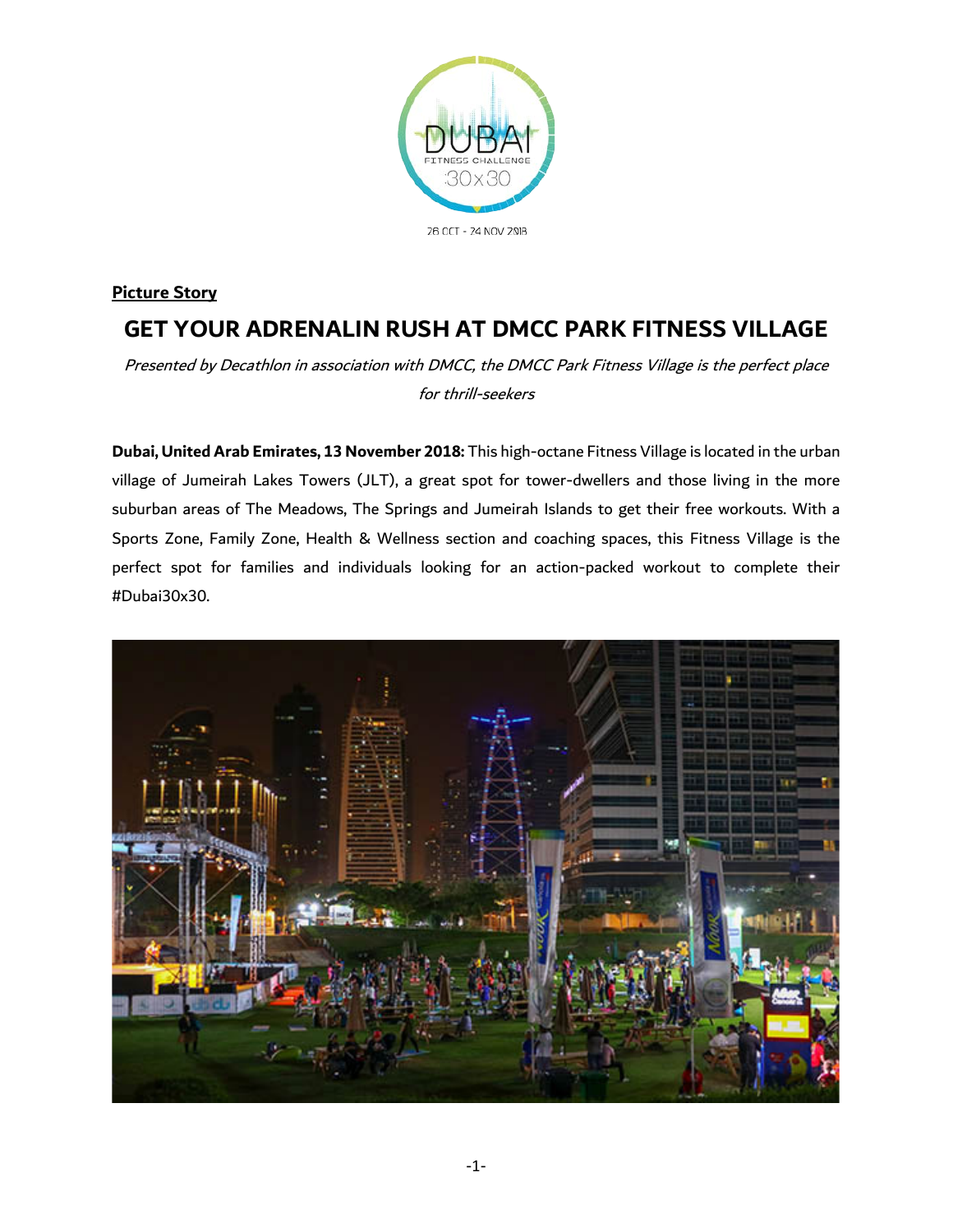

# **Picture Story GET YOUR ADRENALIN RUSH AT DMCC PARK FITNESS VILLAGE**

Presented by Decathlon in association with DMCC, the DMCC Park Fitness Village is the perfect place for thrill-seekers

**Dubai, United Arab Emirates, 13 November 2018:** This high-octane Fitness Village is located in the urban village of Jumeirah Lakes Towers (JLT), a great spot for tower-dwellers and those living in the more suburban areas of The Meadows, The Springs and Jumeirah Islands to get their free workouts. With a Sports Zone, Family Zone, Health & Wellness section and coaching spaces, this Fitness Village is the perfect spot for families and individuals looking for an action-packed workout to complete their #Dubai30x30.

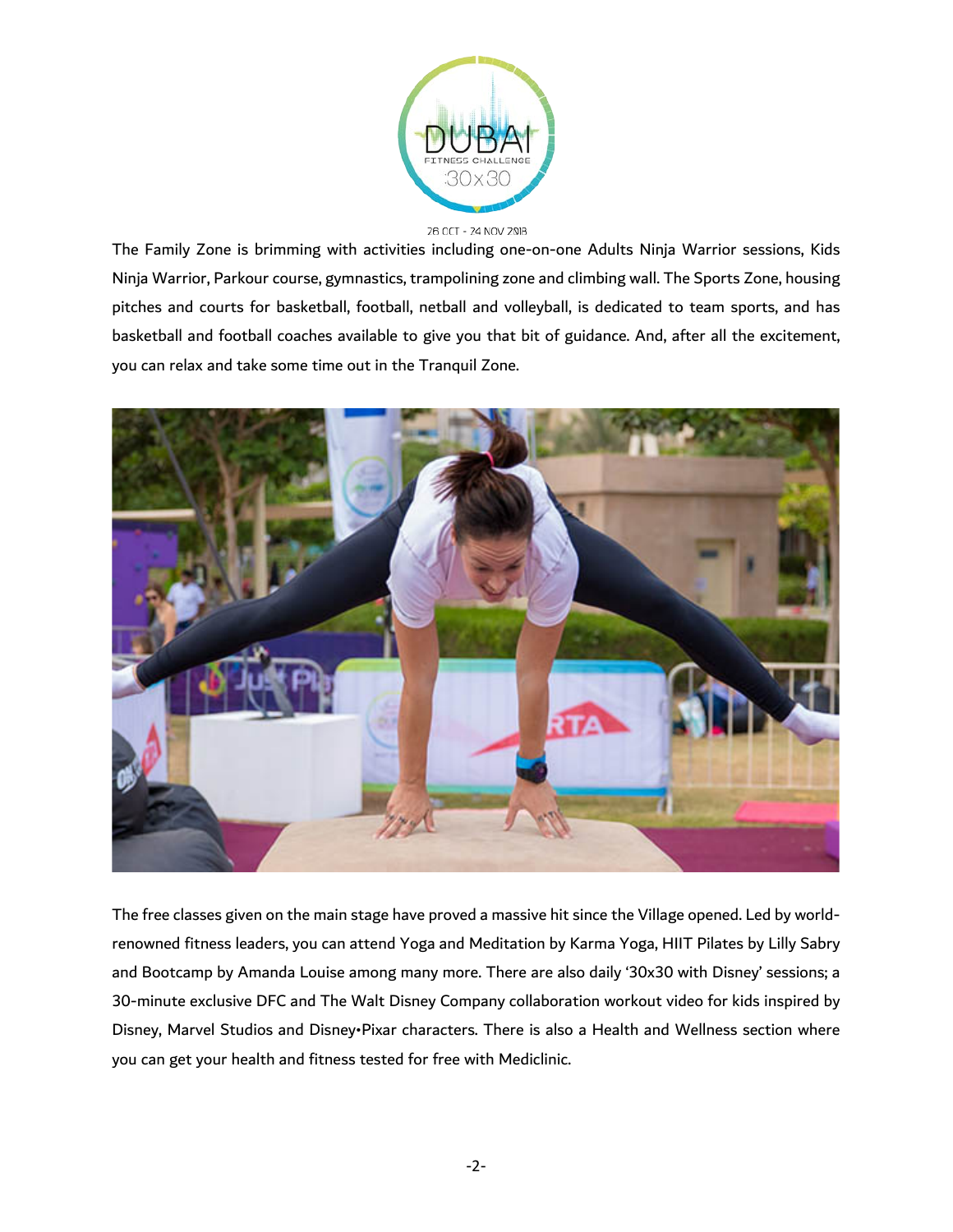

#### 26 OCT - 24 NOV 2018

The Family Zone is brimming with activities including one-on-one Adults Ninja Warrior sessions, Kids Ninja Warrior, Parkour course, gymnastics, trampolining zone and climbing wall. The Sports Zone, housing pitches and courts for basketball, football, netball and volleyball, is dedicated to team sports, and has basketball and football coaches available to give you that bit of guidance. And, after all the excitement, you can relax and take some time out in the Tranquil Zone.



The free classes given on the main stage have proved a massive hit since the Village opened. Led by worldrenowned fitness leaders, you can attend Yoga and Meditation by Karma Yoga, HIIT Pilates by Lilly Sabry and Bootcamp by Amanda Louise among many more. There are also daily '30x30 with Disney' sessions; a 30-minute exclusive DFC and The Walt Disney Company collaboration workout video for kids inspired by Disney, Marvel Studios and Disney•Pixar characters. There is also a Health and Wellness section where you can get your health and fitness tested for free with Mediclinic.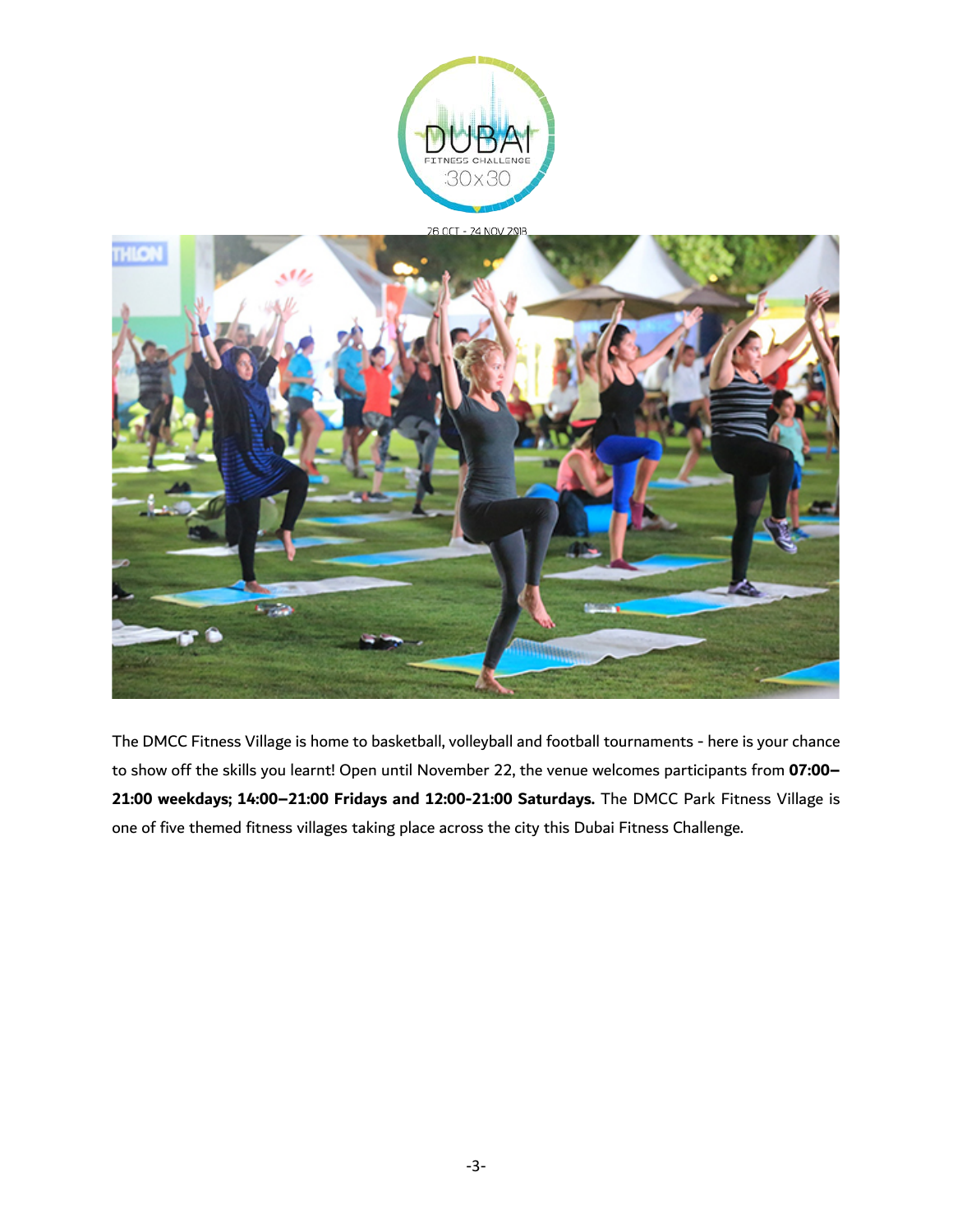



The DMCC Fitness Village is home to basketball, volleyball and football tournaments - here is your chance to show off the skills you learnt! Open until November 22, the venue welcomes participants from **07:00– 21:00 weekdays; 14:00–21:00 Fridays and 12:00-21:00 Saturdays.** The DMCC Park Fitness Village is one of five themed fitness villages taking place across the city this Dubai Fitness Challenge.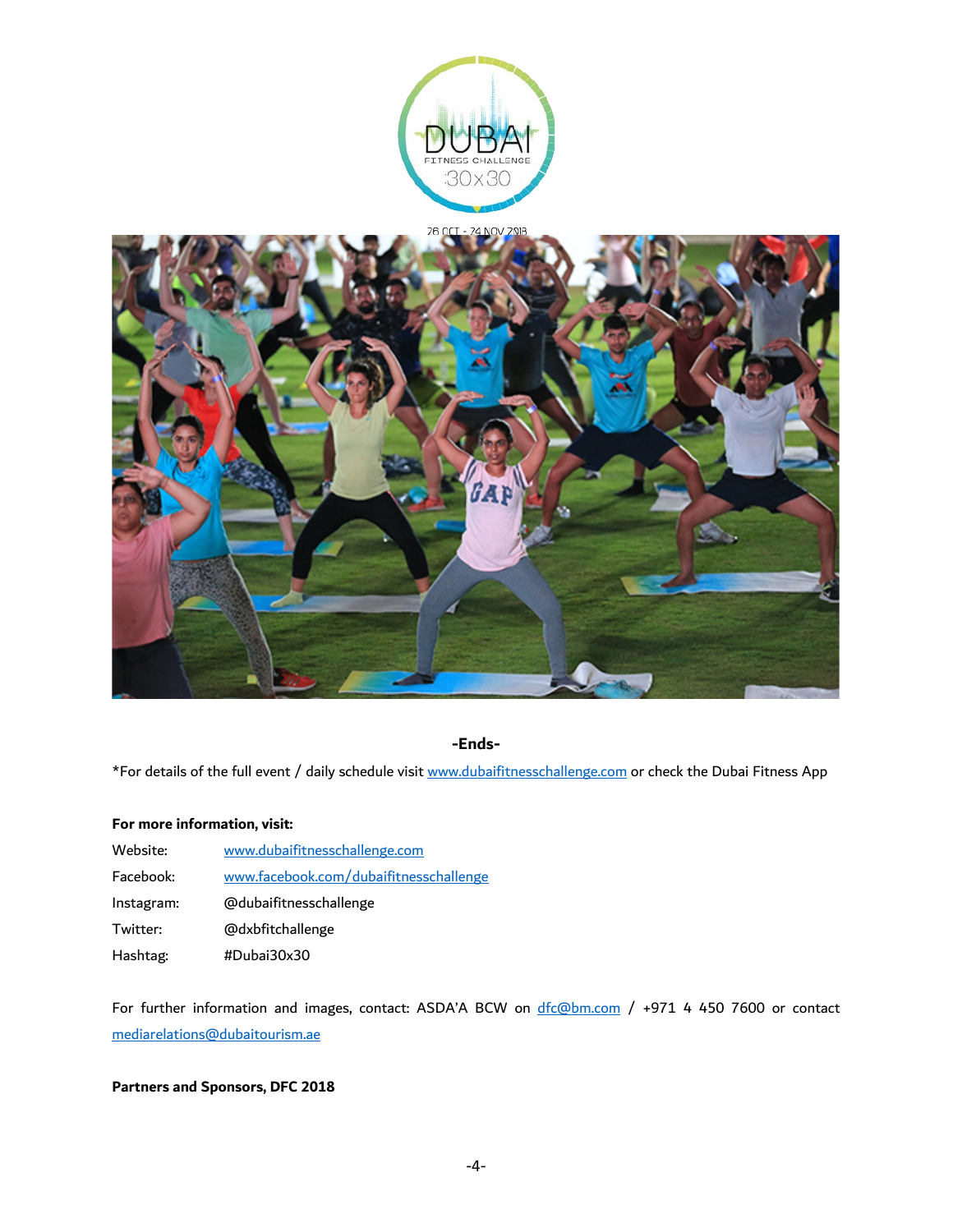



## **-Ends-**

\*For details of the full event / daily schedule visi[t www.dubaifitnesschallenge.com](http://www.dubaifitnesschallenge.com/) or check the Dubai Fitness App

#### **For more information, visit:**

| Website:   | www.dubaifitnesschallenge.com          |
|------------|----------------------------------------|
| Facebook:  | www.facebook.com/dubaifitnesschallenge |
| Instagram: | @dubaifitnesschallenge                 |
| Twitter:   | @dxbfitchallenge                       |
| Hashtag:   | #Dubai30x30                            |

For further information and images, contact: ASDA'A BCW on  $\frac{d f_c \omega_{bm.com}}{d}$  / +971 4 450 7600 or contact [mediarelations@dubaitourism.ae](mailto:mediarelations@dubaitourism.ae)

## **Partners and Sponsors, DFC 2018**